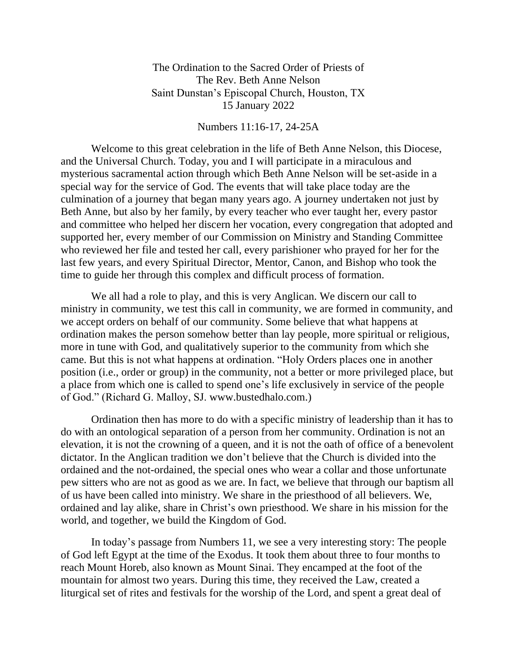The Ordination to the Sacred Order of Priests of The Rev. Beth Anne Nelson Saint Dunstan's Episcopal Church, Houston, TX 15 January 2022

## Numbers 11:16-17, 24-25A

Welcome to this great celebration in the life of Beth Anne Nelson, this Diocese, and the Universal Church. Today, you and I will participate in a miraculous and mysterious sacramental action through which Beth Anne Nelson will be set-aside in a special way for the service of God. The events that will take place today are the culmination of a journey that began many years ago. A journey undertaken not just by Beth Anne, but also by her family, by every teacher who ever taught her, every pastor and committee who helped her discern her vocation, every congregation that adopted and supported her, every member of our Commission on Ministry and Standing Committee who reviewed her file and tested her call, every parishioner who prayed for her for the last few years, and every Spiritual Director, Mentor, Canon, and Bishop who took the time to guide her through this complex and difficult process of formation.

We all had a role to play, and this is very Anglican. We discern our call to ministry in community, we test this call in community, we are formed in community, and we accept orders on behalf of our community. Some believe that what happens at ordination makes the person somehow better than lay people, more spiritual or religious, more in tune with God, and qualitatively superior to the community from which she came. But this is not what happens at ordination. "Holy Orders places one in another position (i.e., order or group) in the community, not a better or more privileged place, but a place from which one is called to spend one's life exclusively in service of the people of God." (Richard G. Malloy, SJ. www.bustedhalo.com.)

Ordination then has more to do with a specific ministry of leadership than it has to do with an ontological separation of a person from her community. Ordination is not an elevation, it is not the crowning of a queen, and it is not the oath of office of a benevolent dictator. In the Anglican tradition we don't believe that the Church is divided into the ordained and the not-ordained, the special ones who wear a collar and those unfortunate pew sitters who are not as good as we are. In fact, we believe that through our baptism all of us have been called into ministry. We share in the priesthood of all believers. We, ordained and lay alike, share in Christ's own priesthood. We share in his mission for the world, and together, we build the Kingdom of God.

In today's passage from Numbers 11, we see a very interesting story: The people of God left Egypt at the time of the Exodus. It took them about three to four months to reach Mount Horeb, also known as Mount Sinai. They encamped at the foot of the mountain for almost two years. During this time, they received the Law, created a liturgical set of rites and festivals for the worship of the Lord, and spent a great deal of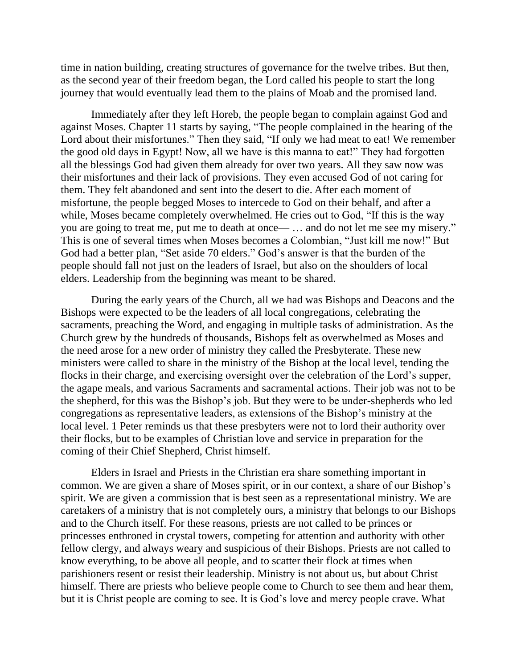time in nation building, creating structures of governance for the twelve tribes. But then, as the second year of their freedom began, the Lord called his people to start the long journey that would eventually lead them to the plains of Moab and the promised land.

Immediately after they left Horeb, the people began to complain against God and against Moses. Chapter 11 starts by saying, "The people complained in the hearing of the Lord about their misfortunes." Then they said, "If only we had meat to eat! We remember the good old days in Egypt! Now, all we have is this manna to eat!" They had forgotten all the blessings God had given them already for over two years. All they saw now was their misfortunes and their lack of provisions. They even accused God of not caring for them. They felt abandoned and sent into the desert to die. After each moment of misfortune, the people begged Moses to intercede to God on their behalf, and after a while, Moses became completely overwhelmed. He cries out to God, "If this is the way you are going to treat me, put me to death at once— … and do not let me see my misery." This is one of several times when Moses becomes a Colombian, "Just kill me now!" But God had a better plan, "Set aside 70 elders." God's answer is that the burden of the people should fall not just on the leaders of Israel, but also on the shoulders of local elders. Leadership from the beginning was meant to be shared.

During the early years of the Church, all we had was Bishops and Deacons and the Bishops were expected to be the leaders of all local congregations, celebrating the sacraments, preaching the Word, and engaging in multiple tasks of administration. As the Church grew by the hundreds of thousands, Bishops felt as overwhelmed as Moses and the need arose for a new order of ministry they called the Presbyterate. These new ministers were called to share in the ministry of the Bishop at the local level, tending the flocks in their charge, and exercising oversight over the celebration of the Lord's supper, the agape meals, and various Sacraments and sacramental actions. Their job was not to be the shepherd, for this was the Bishop's job. But they were to be under-shepherds who led congregations as representative leaders, as extensions of the Bishop's ministry at the local level. 1 Peter reminds us that these presbyters were not to lord their authority over their flocks, but to be examples of Christian love and service in preparation for the coming of their Chief Shepherd, Christ himself.

Elders in Israel and Priests in the Christian era share something important in common. We are given a share of Moses spirit, or in our context, a share of our Bishop's spirit. We are given a commission that is best seen as a representational ministry. We are caretakers of a ministry that is not completely ours, a ministry that belongs to our Bishops and to the Church itself. For these reasons, priests are not called to be princes or princesses enthroned in crystal towers, competing for attention and authority with other fellow clergy, and always weary and suspicious of their Bishops. Priests are not called to know everything, to be above all people, and to scatter their flock at times when parishioners resent or resist their leadership. Ministry is not about us, but about Christ himself. There are priests who believe people come to Church to see them and hear them, but it is Christ people are coming to see. It is God's love and mercy people crave. What